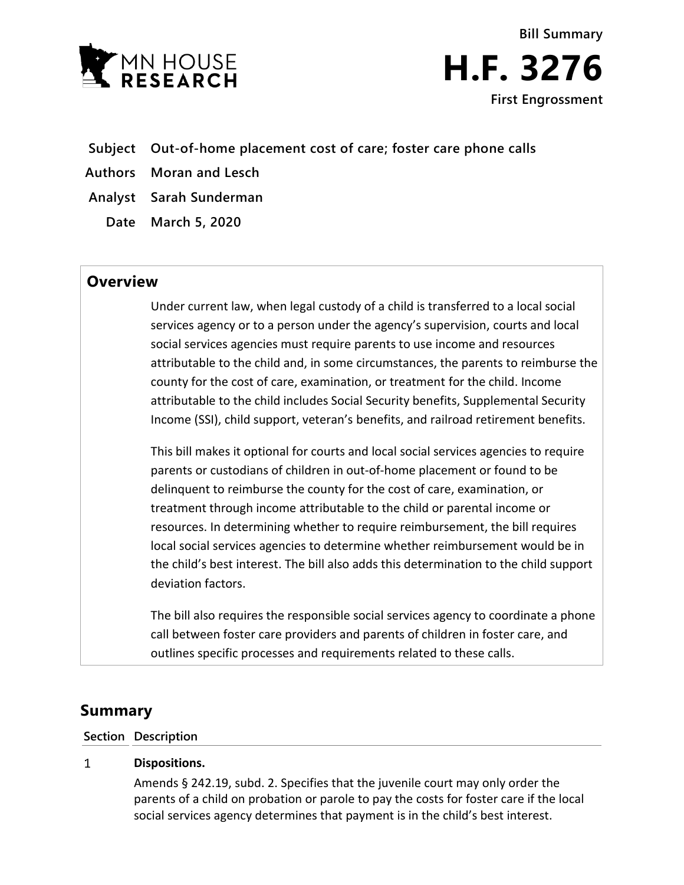

**Bill Summary H.F. 3276 First Engrossment**

- **Subject Out-of-home placement cost of care; foster care phone calls**
- **Authors Moran and Lesch**
- **Analyst Sarah Sunderman**
	- **Date March 5, 2020**

# **Overview**

Under current law, when legal custody of a child is transferred to a local social services agency or to a person under the agency's supervision, courts and local social services agencies must require parents to use income and resources attributable to the child and, in some circumstances, the parents to reimburse the county for the cost of care, examination, or treatment for the child. Income attributable to the child includes Social Security benefits, Supplemental Security Income (SSI), child support, veteran's benefits, and railroad retirement benefits.

This bill makes it optional for courts and local social services agencies to require parents or custodians of children in out-of-home placement or found to be delinquent to reimburse the county for the cost of care, examination, or treatment through income attributable to the child or parental income or resources. In determining whether to require reimbursement, the bill requires local social services agencies to determine whether reimbursement would be in the child's best interest. The bill also adds this determination to the child support deviation factors.

The bill also requires the responsible social services agency to coordinate a phone call between foster care providers and parents of children in foster care, and outlines specific processes and requirements related to these calls.

# **Summary**

# **Section Description**

## $\mathbf{1}$ **Dispositions.**

Amends § 242.19, subd. 2. Specifies that the juvenile court may only order the parents of a child on probation or parole to pay the costs for foster care if the local social services agency determines that payment is in the child's best interest.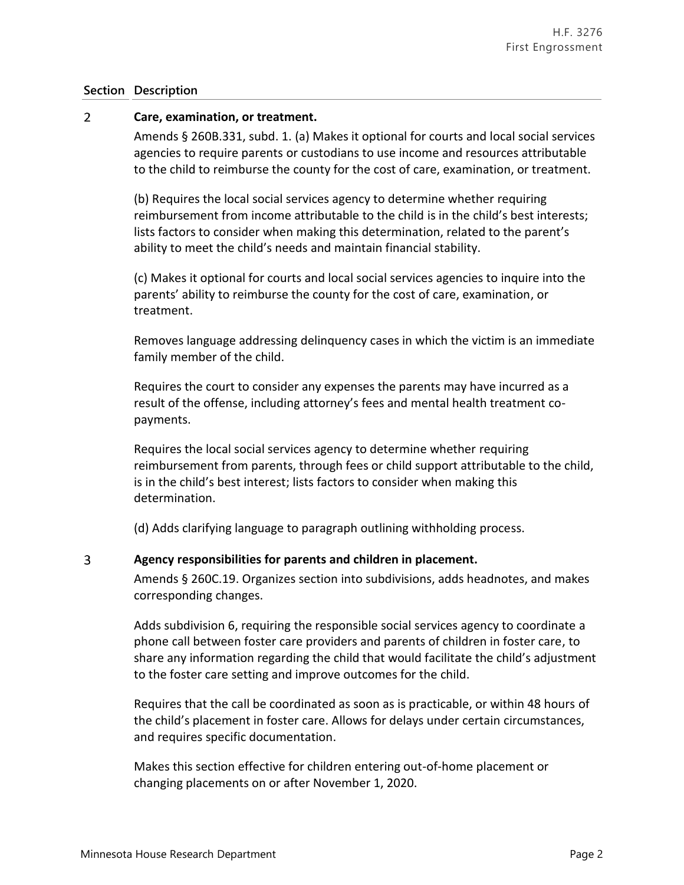# **Section Description**

## $\overline{2}$ **Care, examination, or treatment.**

Amends § 260B.331, subd. 1. (a) Makes it optional for courts and local social services agencies to require parents or custodians to use income and resources attributable to the child to reimburse the county for the cost of care, examination, or treatment.

(b) Requires the local social services agency to determine whether requiring reimbursement from income attributable to the child is in the child's best interests; lists factors to consider when making this determination, related to the parent's ability to meet the child's needs and maintain financial stability.

(c) Makes it optional for courts and local social services agencies to inquire into the parents' ability to reimburse the county for the cost of care, examination, or treatment.

Removes language addressing delinquency cases in which the victim is an immediate family member of the child.

Requires the court to consider any expenses the parents may have incurred as a result of the offense, including attorney's fees and mental health treatment copayments.

Requires the local social services agency to determine whether requiring reimbursement from parents, through fees or child support attributable to the child, is in the child's best interest; lists factors to consider when making this determination.

(d) Adds clarifying language to paragraph outlining withholding process.

## 3 **Agency responsibilities for parents and children in placement.**

Amends § 260C.19. Organizes section into subdivisions, adds headnotes, and makes corresponding changes.

Adds subdivision 6, requiring the responsible social services agency to coordinate a phone call between foster care providers and parents of children in foster care, to share any information regarding the child that would facilitate the child's adjustment to the foster care setting and improve outcomes for the child.

Requires that the call be coordinated as soon as is practicable, or within 48 hours of the child's placement in foster care. Allows for delays under certain circumstances, and requires specific documentation.

Makes this section effective for children entering out-of-home placement or changing placements on or after November 1, 2020.